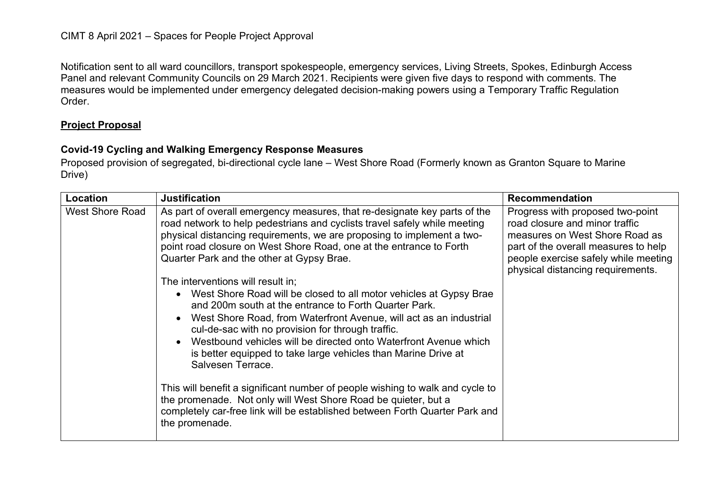Notification sent to all ward councillors, transport spokespeople, emergency services, Living Streets, Spokes, Edinburgh Access Panel and relevant Community Councils on 29 March 2021. Recipients were given five days to respond with comments. The measures would be implemented under emergency delegated decision-making powers using a Temporary Traffic Regulation Order.

## **Project Proposal**

## **Covid-19 Cycling and Walking Emergency Response Measures**

Proposed provision of segregated, bi-directional cycle lane – West Shore Road (Formerly known as Granton Square to Marine Drive)

| Location               | <b>Justification</b>                                                                                                                                                                                                                                                                                                                                                                                                                                                                                                                                                                                                                                                                                                                                                                                                                                                                                                                                                                                                                                               | <b>Recommendation</b>                                                                                                                                                                                                     |
|------------------------|--------------------------------------------------------------------------------------------------------------------------------------------------------------------------------------------------------------------------------------------------------------------------------------------------------------------------------------------------------------------------------------------------------------------------------------------------------------------------------------------------------------------------------------------------------------------------------------------------------------------------------------------------------------------------------------------------------------------------------------------------------------------------------------------------------------------------------------------------------------------------------------------------------------------------------------------------------------------------------------------------------------------------------------------------------------------|---------------------------------------------------------------------------------------------------------------------------------------------------------------------------------------------------------------------------|
| <b>West Shore Road</b> | As part of overall emergency measures, that re-designate key parts of the<br>road network to help pedestrians and cyclists travel safely while meeting<br>physical distancing requirements, we are proposing to implement a two-<br>point road closure on West Shore Road, one at the entrance to Forth<br>Quarter Park and the other at Gypsy Brae.<br>The interventions will result in:<br>West Shore Road will be closed to all motor vehicles at Gypsy Brae<br>and 200m south at the entrance to Forth Quarter Park.<br>West Shore Road, from Waterfront Avenue, will act as an industrial<br>cul-de-sac with no provision for through traffic.<br>Westbound vehicles will be directed onto Waterfront Avenue which<br>is better equipped to take large vehicles than Marine Drive at<br>Salvesen Terrace.<br>This will benefit a significant number of people wishing to walk and cycle to<br>the promenade. Not only will West Shore Road be quieter, but a<br>completely car-free link will be established between Forth Quarter Park and<br>the promenade. | Progress with proposed two-point<br>road closure and minor traffic<br>measures on West Shore Road as<br>part of the overall measures to help<br>people exercise safely while meeting<br>physical distancing requirements. |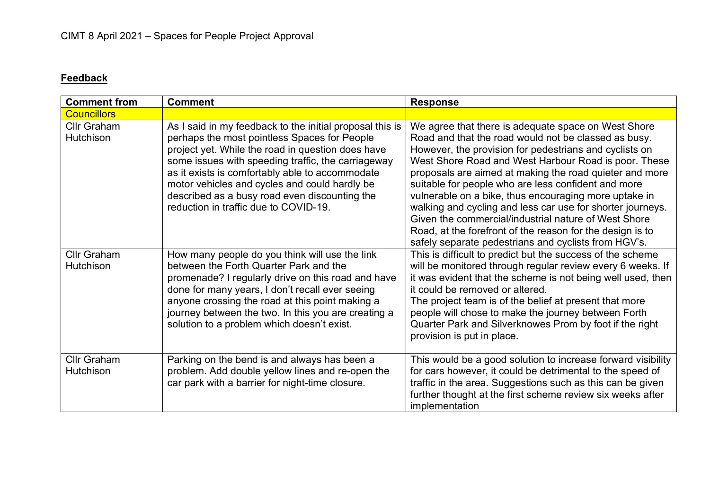## **Feedback**

| <b>Comment from</b>                    | <b>Comment</b>                                                                                                                                                                                                                                                                                                                                                                                                    | <b>Response</b>                                                                                                                                                                                                                                                                                                                                                                                                                                                                                                                                                                             |
|----------------------------------------|-------------------------------------------------------------------------------------------------------------------------------------------------------------------------------------------------------------------------------------------------------------------------------------------------------------------------------------------------------------------------------------------------------------------|---------------------------------------------------------------------------------------------------------------------------------------------------------------------------------------------------------------------------------------------------------------------------------------------------------------------------------------------------------------------------------------------------------------------------------------------------------------------------------------------------------------------------------------------------------------------------------------------|
| <b>Councillors</b>                     |                                                                                                                                                                                                                                                                                                                                                                                                                   |                                                                                                                                                                                                                                                                                                                                                                                                                                                                                                                                                                                             |
| <b>Cllr Graham</b><br><b>Hutchison</b> | As I said in my feedback to the initial proposal this is<br>perhaps the most pointless Spaces for People<br>project yet. While the road in question does have<br>some issues with speeding traffic, the carriageway<br>as it exists is comfortably able to accommodate<br>motor vehicles and cycles and could hardly be<br>described as a busy road even discounting the<br>reduction in traffic due to COVID-19. | We agree that there is adequate space on West Shore<br>Road and that the road would not be classed as busy.<br>However, the provision for pedestrians and cyclists on<br>West Shore Road and West Harbour Road is poor. These<br>proposals are aimed at making the road quieter and more<br>suitable for people who are less confident and more<br>vulnerable on a bike, thus encouraging more uptake in<br>walking and cycling and less car use for shorter journeys.<br>Given the commercial/industrial nature of West Shore<br>Road, at the forefront of the reason for the design is to |
| <b>Cllr Graham</b><br><b>Hutchison</b> | How many people do you think will use the link<br>between the Forth Quarter Park and the<br>promenade? I regularly drive on this road and have<br>done for many years, I don't recall ever seeing<br>anyone crossing the road at this point making a<br>journey between the two. In this you are creating a<br>solution to a problem which doesn't exist.                                                         | safely separate pedestrians and cyclists from HGV's.<br>This is difficult to predict but the success of the scheme<br>will be monitored through regular review every 6 weeks. If<br>it was evident that the scheme is not being well used, then<br>it could be removed or altered.<br>The project team is of the belief at present that more<br>people will chose to make the journey between Forth<br>Quarter Park and Silverknowes Prom by foot if the right<br>provision is put in place.                                                                                                |
| Cllr Graham<br><b>Hutchison</b>        | Parking on the bend is and always has been a<br>problem. Add double yellow lines and re-open the<br>car park with a barrier for night-time closure.                                                                                                                                                                                                                                                               | This would be a good solution to increase forward visibility<br>for cars however, it could be detrimental to the speed of<br>traffic in the area. Suggestions such as this can be given<br>further thought at the first scheme review six weeks after<br>implementation                                                                                                                                                                                                                                                                                                                     |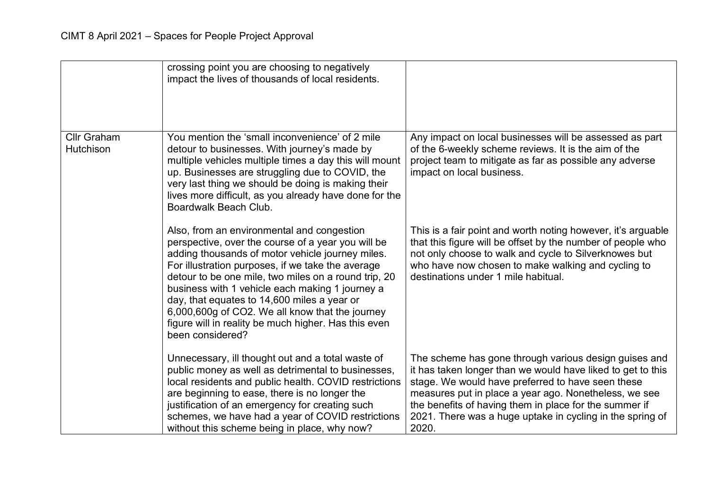|                                 | crossing point you are choosing to negatively<br>impact the lives of thousands of local residents.                                                                                                                                                                                                                                                                                                                                                                                                 |                                                                                                                                                                                                                                                                                                                                                                    |
|---------------------------------|----------------------------------------------------------------------------------------------------------------------------------------------------------------------------------------------------------------------------------------------------------------------------------------------------------------------------------------------------------------------------------------------------------------------------------------------------------------------------------------------------|--------------------------------------------------------------------------------------------------------------------------------------------------------------------------------------------------------------------------------------------------------------------------------------------------------------------------------------------------------------------|
| <b>Cllr Graham</b><br>Hutchison | You mention the 'small inconvenience' of 2 mile<br>detour to businesses. With journey's made by<br>multiple vehicles multiple times a day this will mount<br>up. Businesses are struggling due to COVID, the<br>very last thing we should be doing is making their<br>lives more difficult, as you already have done for the<br>Boardwalk Beach Club.                                                                                                                                              | Any impact on local businesses will be assessed as part<br>of the 6-weekly scheme reviews. It is the aim of the<br>project team to mitigate as far as possible any adverse<br>impact on local business.                                                                                                                                                            |
|                                 | Also, from an environmental and congestion<br>perspective, over the course of a year you will be<br>adding thousands of motor vehicle journey miles.<br>For illustration purposes, if we take the average<br>detour to be one mile, two miles on a round trip, 20<br>business with 1 vehicle each making 1 journey a<br>day, that equates to 14,600 miles a year or<br>6,000,600g of CO2. We all know that the journey<br>figure will in reality be much higher. Has this even<br>been considered? | This is a fair point and worth noting however, it's arguable<br>that this figure will be offset by the number of people who<br>not only choose to walk and cycle to Silverknowes but<br>who have now chosen to make walking and cycling to<br>destinations under 1 mile habitual.                                                                                  |
|                                 | Unnecessary, ill thought out and a total waste of<br>public money as well as detrimental to businesses,<br>local residents and public health. COVID restrictions<br>are beginning to ease, there is no longer the<br>justification of an emergency for creating such<br>schemes, we have had a year of COVID restrictions<br>without this scheme being in place, why now?                                                                                                                          | The scheme has gone through various design guises and<br>it has taken longer than we would have liked to get to this<br>stage. We would have preferred to have seen these<br>measures put in place a year ago. Nonetheless, we see<br>the benefits of having them in place for the summer if<br>2021. There was a huge uptake in cycling in the spring of<br>2020. |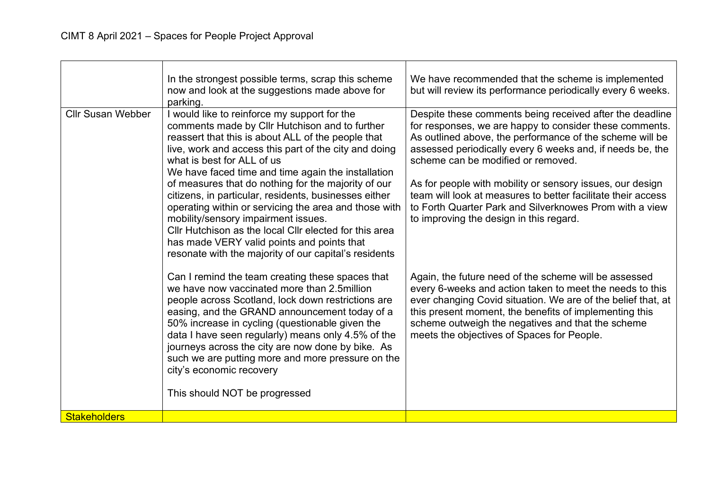|                          | In the strongest possible terms, scrap this scheme<br>now and look at the suggestions made above for<br>parking.                                                                                                                                                                                                                                                                                                                                                                                                                                                                                                                                                                   | We have recommended that the scheme is implemented<br>but will review its performance periodically every 6 weeks.                                                                                                                                                                                                                                                                                                                                                                                                     |
|--------------------------|------------------------------------------------------------------------------------------------------------------------------------------------------------------------------------------------------------------------------------------------------------------------------------------------------------------------------------------------------------------------------------------------------------------------------------------------------------------------------------------------------------------------------------------------------------------------------------------------------------------------------------------------------------------------------------|-----------------------------------------------------------------------------------------------------------------------------------------------------------------------------------------------------------------------------------------------------------------------------------------------------------------------------------------------------------------------------------------------------------------------------------------------------------------------------------------------------------------------|
| <b>Cllr Susan Webber</b> | I would like to reinforce my support for the<br>comments made by Cllr Hutchison and to further<br>reassert that this is about ALL of the people that<br>live, work and access this part of the city and doing<br>what is best for ALL of us<br>We have faced time and time again the installation<br>of measures that do nothing for the majority of our<br>citizens, in particular, residents, businesses either<br>operating within or servicing the area and those with<br>mobility/sensory impairment issues.<br>Cllr Hutchison as the local Cllr elected for this area<br>has made VERY valid points and points that<br>resonate with the majority of our capital's residents | Despite these comments being received after the deadline<br>for responses, we are happy to consider these comments.<br>As outlined above, the performance of the scheme will be<br>assessed periodically every 6 weeks and, if needs be, the<br>scheme can be modified or removed.<br>As for people with mobility or sensory issues, our design<br>team will look at measures to better facilitate their access<br>to Forth Quarter Park and Silverknowes Prom with a view<br>to improving the design in this regard. |
|                          | Can I remind the team creating these spaces that<br>we have now vaccinated more than 2.5 million<br>people across Scotland, lock down restrictions are<br>easing, and the GRAND announcement today of a<br>50% increase in cycling (questionable given the<br>data I have seen regularly) means only 4.5% of the<br>journeys across the city are now done by bike. As<br>such we are putting more and more pressure on the<br>city's economic recovery<br>This should NOT be progressed                                                                                                                                                                                            | Again, the future need of the scheme will be assessed<br>every 6-weeks and action taken to meet the needs to this<br>ever changing Covid situation. We are of the belief that, at<br>this present moment, the benefits of implementing this<br>scheme outweigh the negatives and that the scheme<br>meets the objectives of Spaces for People.                                                                                                                                                                        |
| <b>Stakeholders</b>      |                                                                                                                                                                                                                                                                                                                                                                                                                                                                                                                                                                                                                                                                                    |                                                                                                                                                                                                                                                                                                                                                                                                                                                                                                                       |